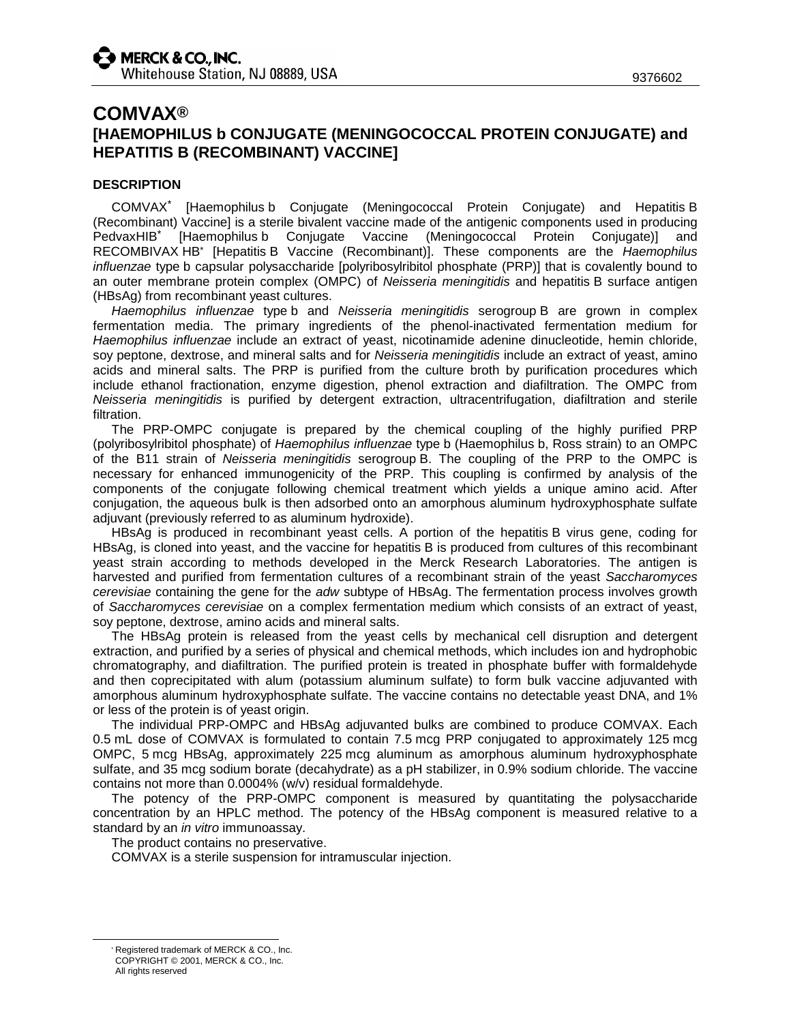# **COMVAX® [HAEMOPHILUS b CONJUGATE (MENINGOCOCCAL PROTEIN CONJUGATE) and HEPATITIS B (RECOMBINANT) VACCINE]**

# **DESCRIPTION**

COMVAX\* [Haemophilus b Conjugate (Meningococcal Protein Conjugate) and Hepatitis B (Recombinant) Vaccine] is a sterile bivalent vaccine made of the antigenic components used in producing PedvaxHIB\* [Haemophilus b Conjugate Vaccine (Meningococcal Protein Conjugate)] and RECOMBIVAX HB<sup>\*</sup> [Hepatitis B Vaccine (Recombinant)]. These components are the Haemophilus influenzae type b capsular polysaccharide [polyribosylribitol phosphate (PRP)] that is covalently bound to an outer membrane protein complex (OMPC) of Neisseria meningitidis and hepatitis B surface antigen (HBsAg) from recombinant yeast cultures.

Haemophilus influenzae type b and Neisseria meningitidis serogroup B are grown in complex fermentation media. The primary ingredients of the phenol-inactivated fermentation medium for Haemophilus influenzae include an extract of yeast, nicotinamide adenine dinucleotide, hemin chloride, soy peptone, dextrose, and mineral salts and for Neisseria meningitidis include an extract of yeast, amino acids and mineral salts. The PRP is purified from the culture broth by purification procedures which include ethanol fractionation, enzyme digestion, phenol extraction and diafiltration. The OMPC from Neisseria meningitidis is purified by detergent extraction, ultracentrifugation, diafiltration and sterile filtration.

 (polyribosylribitol phosphate) of Haemophilus influenzae type b (Haemophilus b, Ross strain) to an OMPC necessary for enhanced immunogenicity of the PRP. This coupling is confirmed by analysis of the The PRP-OMPC conjugate is prepared by the chemical coupling of the highly purified PRP of the B11 strain of Neisseria meningitidis serogroup B. The coupling of the PRP to the OMPC is components of the conjugate following chemical treatment which yields a unique amino acid. After conjugation, the aqueous bulk is then adsorbed onto an amorphous aluminum hydroxyphosphate sulfate adjuvant (previously referred to as aluminum hydroxide).

cerevisiae containing the gene for the adw subtype of HBsAg. The fermentation process involves growth HBsAg is produced in recombinant yeast cells. A portion of the hepatitis B virus gene, coding for HBsAg, is cloned into yeast, and the vaccine for hepatitis B is produced from cultures of this recombinant yeast strain according to methods developed in the Merck Research Laboratories. The antigen is harvested and purified from fermentation cultures of a recombinant strain of the yeast Saccharomyces of Saccharomyces cerevisiae on a complex fermentation medium which consists of an extract of yeast, soy peptone, dextrose, amino acids and mineral salts.

 The HBsAg protein is released from the yeast cells by mechanical cell disruption and detergent extraction, and purified by a series of physical and chemical methods, which includes ion and hydrophobic chromatography, and diafiltration. The purified protein is treated in phosphate buffer with formaldehyde and then coprecipitated with alum (potassium aluminum sulfate) to form bulk vaccine adjuvanted with amorphous aluminum hydroxyphosphate sulfate. The vaccine contains no detectable yeast DNA, and 1% or less of the protein is of yeast origin.

The individual PRP-OMPC and HBsAg adjuvanted bulks are combined to produce COMVAX. Each 0.5 mL dose of COMVAX is formulated to contain 7.5 mcg PRP conjugated to approximately 125 mcg OMPC, 5 mcg HBsAg, approximately 225 mcg aluminum as amorphous aluminum hydroxyphosphate sulfate, and 35 mcg sodium borate (decahydrate) as a pH stabilizer, in 0.9% sodium chloride. The vaccine contains not more than 0.0004% (w/v) residual formaldehyde.

The potency of the PRP-OMPC component is measured by quantitating the polysaccharide concentration by an HPLC method. The potency of the HBsAg component is measured relative to a standard by an *in vitro* immunoassay.

The product contains no preservative.

COMVAX is a sterile suspension for intramuscular injection.

l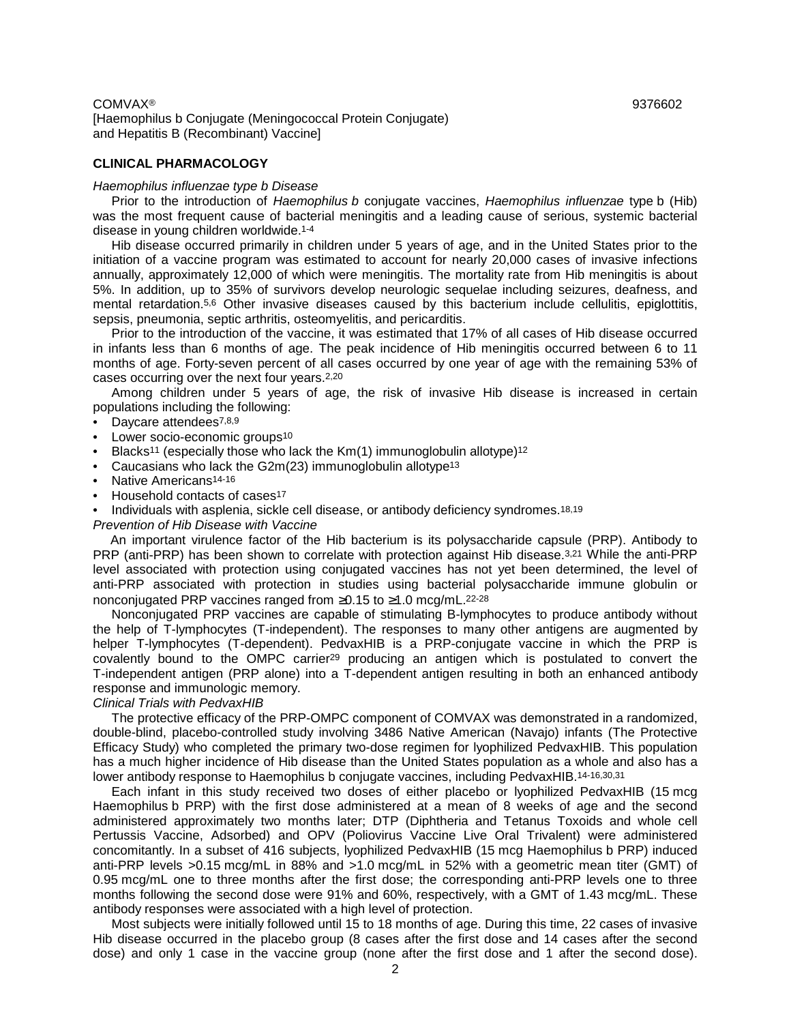# **CLINICAL PHARMACOLOGY**

#### Haemophilus influenzae type b Disease

Prior to the introduction of Haemophilus b conjugate vaccines, Haemophilus influenzae type b (Hib) was the most frequent cause of bacterial meningitis and a leading cause of serious, systemic bacterial disease in young children worldwide.1-4

 Hib disease occurred primarily in children under 5 years of age, and in the United States prior to the initiation of a vaccine program was estimated to account for nearly 20,000 cases of invasive infections annually, approximately 12,000 of which were meningitis. The mortality rate from Hib meningitis is about 5%. In addition, up to 35% of survivors develop neurologic sequelae including seizures, deafness, and mental retardation.5,6 Other invasive diseases caused by this bacterium include cellulitis, epiglottitis, sepsis, pneumonia, septic arthritis, osteomyelitis, and pericarditis.

 Prior to the introduction of the vaccine, it was estimated that 17% of all cases of Hib disease occurred in infants less than 6 months of age. The peak incidence of Hib meningitis occurred between 6 to 11 months of age. Forty-seven percent of all cases occurred by one year of age with the remaining 53% of cases occurring over the next four years.2,20

Among children under 5 years of age, the risk of invasive Hib disease is increased in certain populations including the following:

- Daycare attendees<sup>7,8,9</sup>
- Lower socio-economic groups<sup>10</sup>
- Blacks<sup>11</sup> (especially those who lack the Km(1) immunoglobulin allotype)<sup>12</sup>
- Caucasians who lack the G2m(23) immunoglobulin allotype<sup>13</sup>
- Native Americans<sup>14-16</sup>
- Household contacts of cases<sup>17</sup>

• Individuals with asplenia, sickle cell disease, or antibody deficiency syndromes.<sup>18,19</sup>

Prevention of Hib Disease with Vaccine

An important virulence factor of the Hib bacterium is its polysaccharide capsule (PRP). Antibody to PRP (anti-PRP) has been shown to correlate with protection against Hib disease.<sup>3,21</sup> While the anti-PRP level associated with protection using conjugated vaccines has not yet been determined, the level of anti-PRP associated with protection in studies using bacterial polysaccharide immune globulin or nonconjugated PRP vaccines ranged from ≥0.15 to ≥1.0 mcg/mL.<sup>22-28</sup>

Nonconjugated PRP vaccines are capable of stimulating B-lymphocytes to produce antibody without the help of T-lymphocytes (T-independent). The responses to many other antigens are augmented by helper T-lymphocytes (T-dependent). PedvaxHIB is a PRP-conjugate vaccine in which the PRP is covalently bound to the OMPC carrier29 producing an antigen which is postulated to convert the T-independent antigen (PRP alone) into a T-dependent antigen resulting in both an enhanced antibody response and immunologic memory.

Clinical Trials with PedvaxHIB

The protective efficacy of the PRP-OMPC component of COMVAX was demonstrated in a randomized, double-blind, placebo-controlled study involving 3486 Native American (Navajo) infants (The Protective Efficacy Study) who completed the primary two-dose regimen for lyophilized PedvaxHIB. This population has a much higher incidence of Hib disease than the United States population as a whole and also has a lower antibody response to Haemophilus b conjugate vaccines, including PedvaxHIB.14-16,30,31

 Haemophilus b PRP) with the first dose administered at a mean of 8 weeks of age and the second concomitantly. In a subset of 416 subjects, lyophilized PedvaxHIB (15 mcg Haemophilus b PRP) induced Each infant in this study received two doses of either placebo or lyophilized PedvaxHIB (15 mcg administered approximately two months later; DTP (Diphtheria and Tetanus Toxoids and whole cell Pertussis Vaccine, Adsorbed) and OPV (Poliovirus Vaccine Live Oral Trivalent) were administered anti-PRP levels >0.15 mcg/mL in 88% and >1.0 mcg/mL in 52% with a geometric mean titer (GMT) of 0.95 mcg/mL one to three months after the first dose; the corresponding anti-PRP levels one to three months following the second dose were 91% and 60%, respectively, with a GMT of 1.43 mcg/mL. These antibody responses were associated with a high level of protection.

 Most subjects were initially followed until 15 to 18 months of age. During this time, 22 cases of invasive Hib disease occurred in the placebo group (8 cases after the first dose and 14 cases after the second dose) and only 1 case in the vaccine group (none after the first dose and 1 after the second dose).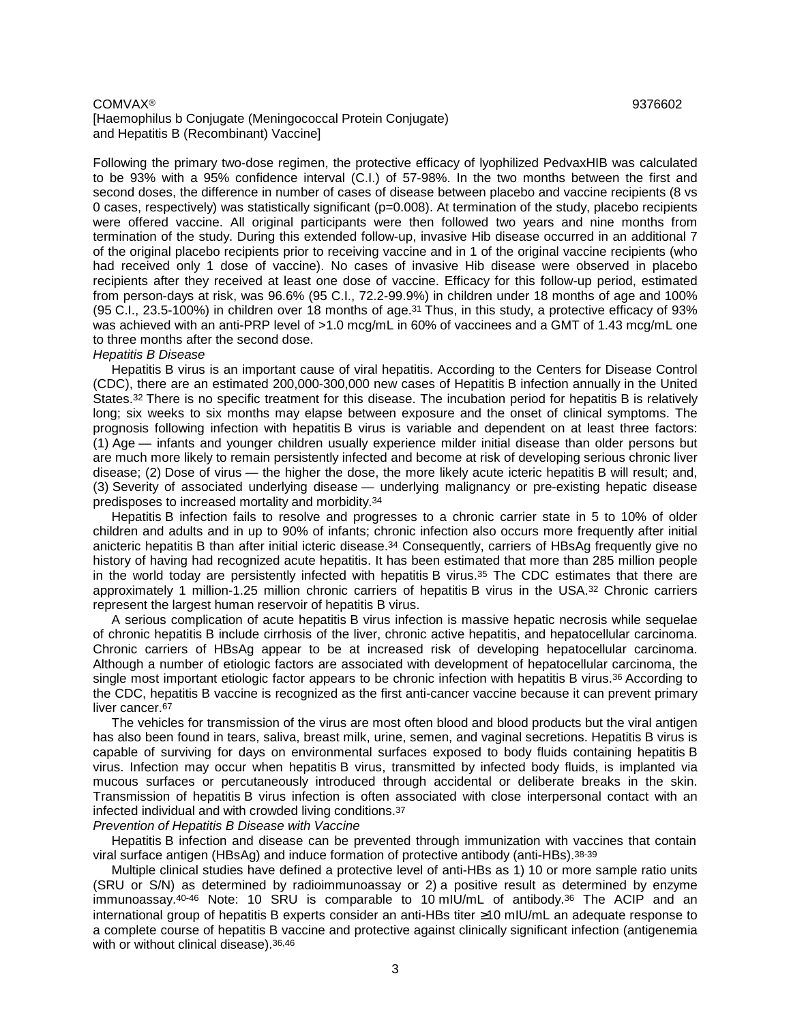[Haemophilus b Conjugate (Meningococcal Protein Conjugate) and Hepatitis B (Recombinant) Vaccine]

 second doses, the difference in number of cases of disease between placebo and vaccine recipients (8 vs 0 cases, respectively) was statistically significant (p=0.008). At termination of the study, placebo recipients were offered vaccine. All original participants were then followed two years and nine months from had received only 1 dose of vaccine). No cases of invasive Hib disease were observed in placebo recipients after they received at least one dose of vaccine. Efficacy for this follow-up period, estimated (95 C.I., 23.5-100%) in children over 18 months of age.31 Thus, in this study, a protective efficacy of 93% Following the primary two-dose regimen, the protective efficacy of lyophilized PedvaxHIB was calculated to be 93% with a 95% confidence interval (C.I.) of 57-98%. In the two months between the first and termination of the study. During this extended follow-up, invasive Hib disease occurred in an additional 7 of the original placebo recipients prior to receiving vaccine and in 1 of the original vaccine recipients (who from person-days at risk, was 96.6% (95 C.I., 72.2-99.9%) in children under 18 months of age and 100% was achieved with an anti-PRP level of >1.0 mcg/mL in 60% of vaccinees and a GMT of 1.43 mcg/mL one to three months after the second dose.

#### Hepatitis B Disease

 Hepatitis B virus is an important cause of viral hepatitis. According to the Centers for Disease Control States.<sup>32</sup> There is no specific treatment for this disease. The incubation period for hepatitis B is relatively long; six weeks to six months may elapse between exposure and the onset of clinical symptoms. The (1) Age — infants and younger children usually experience milder initial disease than older persons but are much more likely to remain persistently infected and become at risk of developing serious chronic liver (CDC), there are an estimated 200,000-300,000 new cases of Hepatitis B infection annually in the United prognosis following infection with hepatitis B virus is variable and dependent on at least three factors: disease; (2) Dose of virus — the higher the dose, the more likely acute icteric hepatitis B will result; and, (3) Severity of associated underlying disease — underlying malignancy or pre-existing hepatic disease predisposes to increased mortality and morbidity.34

 Hepatitis B infection fails to resolve and progresses to a chronic carrier state in 5 to 10% of older children and adults and in up to 90% of infants; chronic infection also occurs more frequently after initial anicteric hepatitis B than after initial icteric disease.34 Consequently, carriers of HBsAg frequently give no history of having had recognized acute hepatitis. It has been estimated that more than 285 million people in the world today are persistently infected with hepatitis B virus.35 The CDC estimates that there are approximately 1 million-1.25 million chronic carriers of hepatitis B virus in the USA.32 Chronic carriers represent the largest human reservoir of hepatitis B virus.

 A serious complication of acute hepatitis B virus infection is massive hepatic necrosis while sequelae of chronic hepatitis B include cirrhosis of the liver, chronic active hepatitis, and hepatocellular carcinoma. Chronic carriers of HBsAg appear to be at increased risk of developing hepatocellular carcinoma. Although a number of etiologic factors are associated with development of hepatocellular carcinoma, the single most important etiologic factor appears to be chronic infection with hepatitis B virus.<sup>36</sup> According to the CDC, hepatitis B vaccine is recognized as the first anti-cancer vaccine because it can prevent primary liver cancer.<sup>67</sup>

 The vehicles for transmission of the virus are most often blood and blood products but the viral antigen has also been found in tears, saliva, breast milk, urine, semen, and vaginal secretions. Hepatitis B virus is virus. Infection may occur when hepatitis B virus, transmitted by infected body fluids, is implanted via Transmission of hepatitis B virus infection is often associated with close interpersonal contact with an capable of surviving for days on environmental surfaces exposed to body fluids containing hepatitis B mucous surfaces or percutaneously introduced through accidental or deliberate breaks in the skin. infected individual and with crowded living conditions.37

# Prevention of Hepatitis B Disease with Vaccine

Hepatitis B infection and disease can be prevented through immunization with vaccines that contain viral surface antigen (HBsAg) and induce formation of protective antibody (anti-HBs).38-39

 (SRU or S/N) as determined by radioimmunoassay or 2) a positive result as determined by enzyme international group of hepatitis B experts consider an anti-HBs titer ≥10 mIU/mL an adequate response to Multiple clinical studies have defined a protective level of anti-HBs as 1) 10 or more sample ratio units immunoassay.40-46 Note: 10 SRU is comparable to 10 mIU/mL of antibody.36 The ACIP and an a complete course of hepatitis B vaccine and protective against clinically significant infection (antigenemia with or without clinical disease).36,46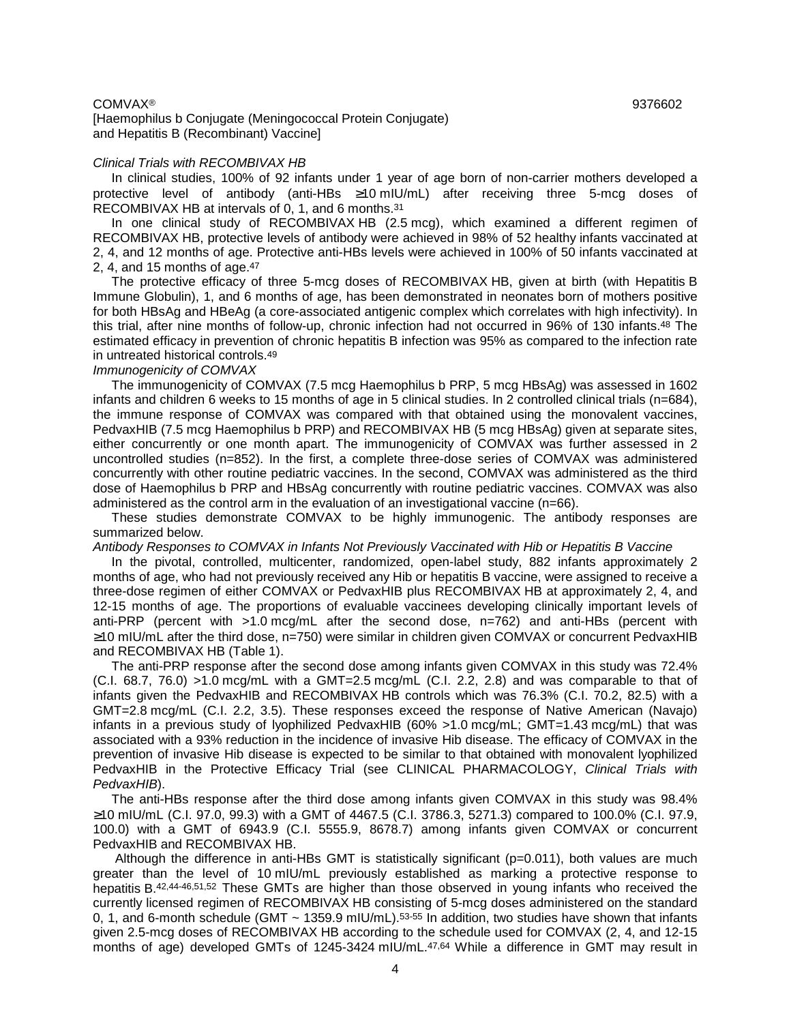# Clinical Trials with RECOMBIVAX HB

In clinical studies, 100% of 92 infants under 1 year of age born of non-carrier mothers developed a protective level of antibody (anti-HBs ≥10 mIU/mL) after receiving three 5-mcg doses of RECOMBIVAX HB at intervals of 0, 1, and 6 months.31

 RECOMBIVAX HB, protective levels of antibody were achieved in 98% of 52 healthy infants vaccinated at In one clinical study of RECOMBIVAX HB (2.5 mcg), which examined a different regimen of 2, 4, and 12 months of age. Protective anti-HBs levels were achieved in 100% of 50 infants vaccinated at 2, 4, and 15 months of age.47

 estimated efficacy in prevention of chronic hepatitis B infection was 95% as compared to the infection rate The protective efficacy of three 5-mcg doses of RECOMBIVAX HB, given at birth (with Hepatitis B Immune Globulin), 1, and 6 months of age, has been demonstrated in neonates born of mothers positive for both HBsAg and HBeAg (a core-associated antigenic complex which correlates with high infectivity). In this trial, after nine months of follow-up, chronic infection had not occurred in 96% of 130 infants.<sup>48</sup> The in untreated historical controls.49

## Immunogenicity of COMVAX

 uncontrolled studies (n=852). In the first, a complete three-dose series of COMVAX was administered concurrently with other routine pediatric vaccines. In the second, COMVAX was administered as the third dose of Haemophilus b PRP and HBsAg concurrently with routine pediatric vaccines. COMVAX was also The immunogenicity of COMVAX (7.5 mcg Haemophilus b PRP, 5 mcg HBsAg) was assessed in 1602 infants and children 6 weeks to 15 months of age in 5 clinical studies. In 2 controlled clinical trials (n=684), the immune response of COMVAX was compared with that obtained using the monovalent vaccines, PedvaxHIB (7.5 mcg Haemophilus b PRP) and RECOMBIVAX HB (5 mcg HBsAg) given at separate sites, either concurrently or one month apart. The immunogenicity of COMVAX was further assessed in 2 administered as the control arm in the evaluation of an investigational vaccine (n=66).

 These studies demonstrate COMVAX to be highly immunogenic. The antibody responses are summarized below.

Antibody Responses to COMVAX in Infants Not Previously Vaccinated with Hib or Hepatitis B Vaccine

 months of age, who had not previously received any Hib or hepatitis B vaccine, were assigned to receive a anti-PRP (percent with >1.0 mcg/mL after the second dose, n=762) and anti-HBs (percent with ≥10 mIU/mL after the third dose, n=750) were similar in children given COMVAX or concurrent PedvaxHIB In the pivotal, controlled, multicenter, randomized, open-label study, 882 infants approximately 2 three-dose regimen of either COMVAX or PedvaxHIB plus RECOMBIVAX HB at approximately 2, 4, and 12-15 months of age. The proportions of evaluable vaccinees developing clinically important levels of and RECOMBIVAX HB (Table 1).

 infants in a previous study of lyophilized PedvaxHIB (60% >1.0 mcg/mL; GMT=1.43 mcg/mL) that was The anti-PRP response after the second dose among infants given COMVAX in this study was 72.4%  $(C.I. 68.7, 76.0) >1.0$  mcg/mL with a GMT=2.5 mcg/mL  $(C.I. 2.2, 2.8)$  and was comparable to that of infants given the PedvaxHIB and RECOMBIVAX HB controls which was 76.3% (C.I. 70.2, 82.5) with a GMT=2.8 mcg/mL (C.I. 2.2, 3.5). These responses exceed the response of Native American (Navajo) associated with a 93% reduction in the incidence of invasive Hib disease. The efficacy of COMVAX in the prevention of invasive Hib disease is expected to be similar to that obtained with monovalent lyophilized PedvaxHIB in the Protective Efficacy Trial (see CLINICAL PHARMACOLOGY, Clinical Trials with PedvaxHIB).

 100.0) with a GMT of 6943.9 (C.I. 5555.9, 8678.7) among infants given COMVAX or concurrent The anti-HBs response after the third dose among infants given COMVAX in this study was 98.4% ≥10 mIU/mL (C.I. 97.0, 99.3) with a GMT of 4467.5 (C.I. 3786.3, 5271.3) compared to 100.0% (C.I. 97.9, PedvaxHIB and RECOMBIVAX HB.

 Although the difference in anti-HBs GMT is statistically significant (p=0.011), both values are much greater than the level of 10 mIU/mL previously established as marking a protective response to hepatitis B.42,44-46,51,52 These GMTs are higher than those observed in young infants who received the currently licensed regimen of RECOMBIVAX HB consisting of 5-mcg doses administered on the standard 0, 1, and 6-month schedule (GMT  $\sim$  1359.9 mIU/mL).<sup>53-55</sup> In addition, two studies have shown that infants given 2.5-mcg doses of RECOMBIVAX HB according to the schedule used for COMVAX (2, 4, and 12-15 months of age) developed GMTs of 1245-3424 mIU/mL.47,64 While a difference in GMT may result in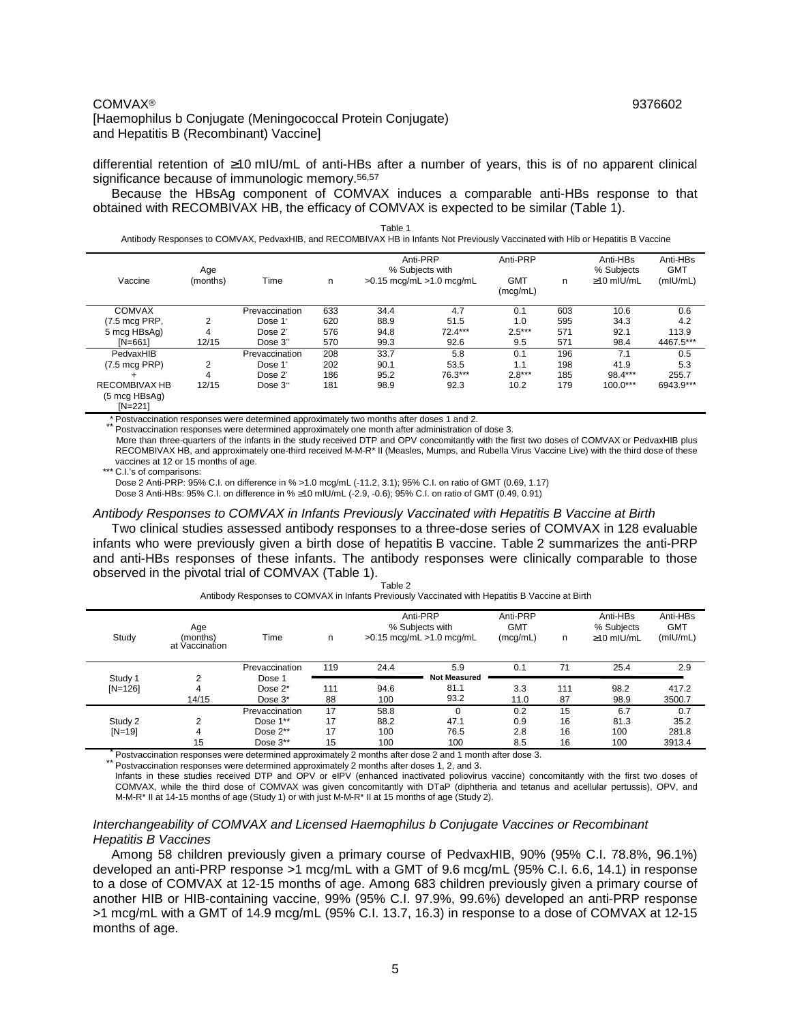differential retention of ≥10 mIU/mL of anti-HBs after a number of years, this is of no apparent clinical significance because of immunologic memory.56,57

Because the HBsAg component of COMVAX induces a comparable anti-HBs response to that obtained with RECOMBIVAX HB, the efficacy of COMVAX is expected to be similar (Table 1).

| Table 1                                                                                                                         |  |
|---------------------------------------------------------------------------------------------------------------------------------|--|
| Antibody Responses to COMVAX, PedvaxHIB, and RECOMBIVAX HB in Infants Not Previously Vaccinated with Hib or Hepatitis B Vaccine |  |

|                                                    |                 |                     |     |      | Anti-PRP                                        | Anti-PRP               |     | Anti-HBs                   | Anti-HBs               |
|----------------------------------------------------|-----------------|---------------------|-----|------|-------------------------------------------------|------------------------|-----|----------------------------|------------------------|
| Vaccine                                            | Age<br>(months) | Time                | n   |      | % Subjects with<br>$>0.15$ mcg/mL $>1.0$ mcg/mL | <b>GMT</b><br>(mcg/mL) | n   | % Subjects<br>$>10$ mIU/mL | <b>GMT</b><br>(mIU/mL) |
| <b>COMVAX</b>                                      |                 | Prevaccination      | 633 | 34.4 | 4.7                                             | 0.1                    | 603 | 10.6                       | 0.6                    |
| (7.5 mcg PRP,                                      | 2               | Dose 1              | 620 | 88.9 | 51.5                                            | 1.0                    | 595 | 34.3                       | 4.2                    |
| 5 mcg HBsAq)                                       | 4               | Dose 2 <sup>*</sup> | 576 | 94.8 | $72.4***$                                       | $2.5***$               | 571 | 92.1                       | 113.9                  |
| $IN = 6611$                                        | 12/15           | Dose 3"             | 570 | 99.3 | 92.6                                            | 9.5                    | 571 | 98.4                       | 4467.5***              |
| PedvaxHIB                                          |                 | Prevaccination      | 208 | 33.7 | 5.8                                             | 0.1                    | 196 | 7.1                        | 0.5                    |
| $(7.5 \text{ m})$ PRP $)$                          | 2               | Dose 1              | 202 | 90.1 | 53.5                                            | 1.1                    | 198 | 41.9                       | 5.3                    |
|                                                    | 4               | Dose 2 <sup>*</sup> | 186 | 95.2 | 76.3***                                         | $2.8***$               | 185 | 98.4***                    | 255.7                  |
| <b>RECOMBIVAX HB</b><br>(5 mcg HBsAg)<br>$FN$ $O2$ | 12/15           | Dose 3"             | 181 | 98.9 | 92.3                                            | 10.2                   | 179 | $100.0***$                 | 6943.9***              |

[N=221]

\* Postvaccination responses were determined approximately two months after doses 1 and 2. \*\* Postvaccination responses were determined approximately one month after administration of dose 3.

More than three-quarters of the infants in the study received DTP and OPV concomitantly with the first two doses of COMVAX or PedvaxHIB plus RECOMBIVAX HB, and approximately one-third received M-M-R\* II (Measles, Mumps, and Rubella Virus Vaccine Live) with the third dose of these vaccines at 12 or 15 months of age.

\*\*\* C.I.'s of comparisons:

Dose 2 Anti-PRP: 95% C.I. on difference in % >1.0 mcg/mL (-11.2, 3.1); 95% C.I. on ratio of GMT (0.69, 1.17)

Dose 3 Anti-HBs: 95% C.I. on difference in % ≥10 mIU/mL (-2.9, -0.6); 95% C.I. on ratio of GMT (0.49, 0.91)

#### Antibody Responses to COMVAX in Infants Previously Vaccinated with Hepatitis B Vaccine at Birth

 infants who were previously given a birth dose of hepatitis B vaccine. Table 2 summarizes the anti-PRP and anti-HBs responses of these infants. The antibody responses were clinically comparable to those Two clinical studies assessed antibody responses to a three-dose series of COMVAX in 128 evaluable observed in the pivotal trial of COMVAX (Table 1).

| Study     | Age<br>(months)<br>at Vaccination | Time           | n<br>119 |      | Anti-PRP<br>% Subjects with<br>$>0.15$ mcg/mL $>1.0$ mcg/mL | Anti-PRP<br><b>GMT</b><br>(mcg/mL) | n<br>71 | Anti-HBs<br>% Subjects<br>$>10$ mlU/mL<br>25.4 | Anti-HBs<br><b>GMT</b><br>(mIU/mL)<br>2.9 |
|-----------|-----------------------------------|----------------|----------|------|-------------------------------------------------------------|------------------------------------|---------|------------------------------------------------|-------------------------------------------|
|           |                                   | Prevaccination |          | 24.4 | 5.9                                                         | 0.1                                |         |                                                |                                           |
| Study 1   |                                   | Dose 1         |          |      | <b>Not Measured</b>                                         |                                    |         |                                                |                                           |
| $[N=126]$ |                                   | Dose $2^*$     | 111      | 94.6 | 81.1                                                        | 3.3                                | 111     | 98.2                                           | 417.2                                     |
|           | 14/15                             | Dose $3^*$     | 88       | 100  | 93.2                                                        | 11.0                               | 87      | 98.9                                           | 3500.7                                    |
|           |                                   | Prevaccination | 17       | 58.8 | $\Omega$                                                    | 0.2                                | 15      | 6.7                                            | 0.7                                       |
| Study 2   | 2                                 | Dose $1**$     | 17       | 88.2 | 47.1                                                        | 0.9                                | 16      | 81.3                                           | 35.2                                      |
| $[N=19]$  | 4                                 | Dose $2**$     | 17       | 100  | 76.5                                                        | 2.8                                | 16      | 100                                            | 281.8                                     |
|           | 15                                | Dose $3**$     | 15       | 100  | 100                                                         | 8.5                                | 16      | 100                                            | 3913.4                                    |

Table 2 Antibody Responses to COMVAX in Infants Previously Vaccinated with Hepatitis B Vaccine at Birth

\* Postvaccination responses were determined approximately 2 months after dose 2 and 1 month after dose 3.<br>\*\* Postvaccination responses were determined approximately 2 months after doses 1, 2, and 3.

Infants in these studies received DTP and OPV or eIPV (enhanced inactivated poliovirus vaccine) concomitantly with the first two doses of COMVAX, while the third dose of COMVAX was given concomitantly with DTaP (diphtheria and tetanus and acellular pertussis), OPV, and M-M-R\* II at 14-15 months of age (Study 1) or with just M-M-R\* II at 15 months of age (Study 2).

### Interchangeability of COMVAX and Licensed Haemophilus b Conjugate Vaccines or Recombinant Hepatitis B Vaccines

 >1 mcg/mL with a GMT of 14.9 mcg/mL (95% C.I. 13.7, 16.3) in response to a dose of COMVAX at 12-15 Among 58 children previously given a primary course of PedvaxHIB, 90% (95% C.I. 78.8%, 96.1%) developed an anti-PRP response >1 mcg/mL with a GMT of 9.6 mcg/mL (95% C.I. 6.6, 14.1) in response to a dose of COMVAX at 12-15 months of age. Among 683 children previously given a primary course of another HIB or HIB-containing vaccine, 99% (95% C.I. 97.9%, 99.6%) developed an anti-PRP response months of age.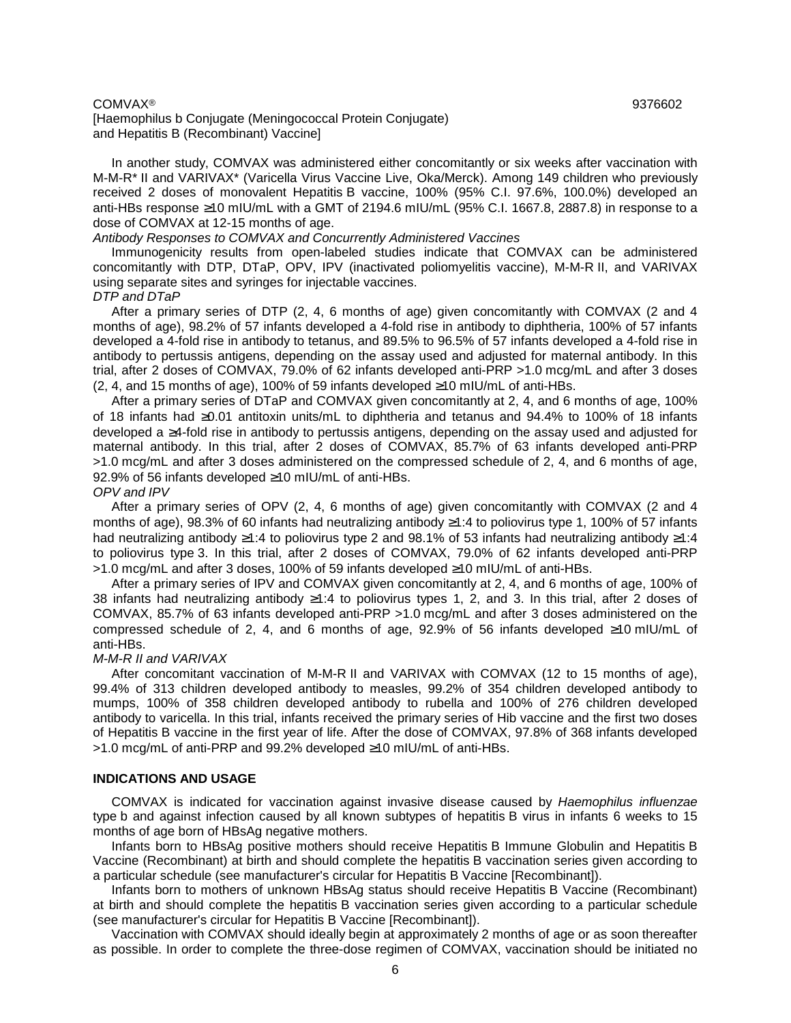[Haemophilus b Conjugate (Meningococcal Protein Conjugate) and Hepatitis B (Recombinant) Vaccine]

In another study, COMVAX was administered either concomitantly or six weeks after vaccination with M-M-R\* II and VARIVAX\* (Varicella Virus Vaccine Live, Oka/Merck). Among 149 children who previously received 2 doses of monovalent Hepatitis B vaccine, 100% (95% C.I. 97.6%, 100.0%) developed an anti-HBs response ≥10 mIU/mL with a GMT of 2194.6 mIU/mL (95% C.I. 1667.8, 2887.8) in response to a dose of COMVAX at 12-15 months of age.

# Antibody Responses to COMVAX and Concurrently Administered Vaccines

Immunogenicity results from open-labeled studies indicate that COMVAX can be administered concomitantly with DTP, DTaP, OPV, IPV (inactivated poliomyelitis vaccine), M-M-R II, and VARIVAX using separate sites and syringes for injectable vaccines.

# DTP and DTaP

 After a primary series of DTP (2, 4, 6 months of age) given concomitantly with COMVAX (2 and 4 months of age), 98.2% of 57 infants developed a 4-fold rise in antibody to diphtheria, 100% of 57 infants trial, after 2 doses of COMVAX, 79.0% of 62 infants developed anti-PRP >1.0 mcg/mL and after 3 doses developed a 4-fold rise in antibody to tetanus, and 89.5% to 96.5% of 57 infants developed a 4-fold rise in antibody to pertussis antigens, depending on the assay used and adjusted for maternal antibody. In this (2, 4, and 15 months of age), 100% of 59 infants developed ≥10 mIU/mL of anti-HBs.

After a primary series of DTaP and COMVAX given concomitantly at 2, 4, and 6 months of age, 100% of 18 infants had ≥0.01 antitoxin units/mL to diphtheria and tetanus and 94.4% to 100% of 18 infants developed a ≥4-fold rise in antibody to pertussis antigens, depending on the assay used and adjusted for maternal antibody. In this trial, after 2 doses of COMVAX, 85.7% of 63 infants developed anti-PRP >1.0 mcg/mL and after 3 doses administered on the compressed schedule of 2, 4, and 6 months of age, 92.9% of 56 infants developed ≥10 mIU/mL of anti-HBs.

#### OPV and IPV

 After a primary series of OPV (2, 4, 6 months of age) given concomitantly with COMVAX (2 and 4 months of age), 98.3% of 60 infants had neutralizing antibody ≥1:4 to poliovirus type 1, 100% of 57 infants had neutralizing antibody ≥1:4 to poliovirus type 2 and 98.1% of 53 infants had neutralizing antibody ≥1:4 to poliovirus type 3. In this trial, after 2 doses of COMVAX, 79.0% of 62 infants developed anti-PRP >1.0 mcg/mL and after 3 doses, 100% of 59 infants developed ≥10 mIU/mL of anti-HBs.

 After a primary series of IPV and COMVAX given concomitantly at 2, 4, and 6 months of age, 100% of 38 infants had neutralizing antibody ≥1:4 to poliovirus types 1, 2, and 3. In this trial, after 2 doses of compressed schedule of 2, 4, and 6 months of age, 92.9% of 56 infants developed ≥10 mIU/mL of COMVAX, 85.7% of 63 infants developed anti-PRP >1.0 mcg/mL and after 3 doses administered on the anti-HBs.

#### M-M-R II and VARIVAX

After concomitant vaccination of M-M-R II and VARIVAX with COMVAX (12 to 15 months of age), 99.4% of 313 children developed antibody to measles, 99.2% of 354 children developed antibody to mumps, 100% of 358 children developed antibody to rubella and 100% of 276 children developed antibody to varicella. In this trial, infants received the primary series of Hib vaccine and the first two doses of Hepatitis B vaccine in the first year of life. After the dose of COMVAX, 97.8% of 368 infants developed >1.0 mcg/mL of anti-PRP and 99.2% developed ≥10 mIU/mL of anti-HBs.

#### **INDICATIONS AND USAGE**

COMVAX is indicated for vaccination against invasive disease caused by Haemophilus influenzae type b and against infection caused by all known subtypes of hepatitis B virus in infants 6 weeks to 15 months of age born of HBsAg negative mothers.

Infants born to HBsAg positive mothers should receive Hepatitis B Immune Globulin and Hepatitis B Vaccine (Recombinant) at birth and should complete the hepatitis B vaccination series given according to a particular schedule (see manufacturer's circular for Hepatitis B Vaccine [Recombinant]).

Infants born to mothers of unknown HBsAg status should receive Hepatitis B Vaccine (Recombinant) at birth and should complete the hepatitis B vaccination series given according to a particular schedule (see manufacturer's circular for Hepatitis B Vaccine [Recombinant]).

Vaccination with COMVAX should ideally begin at approximately 2 months of age or as soon thereafter as possible. In order to complete the three-dose regimen of COMVAX, vaccination should be initiated no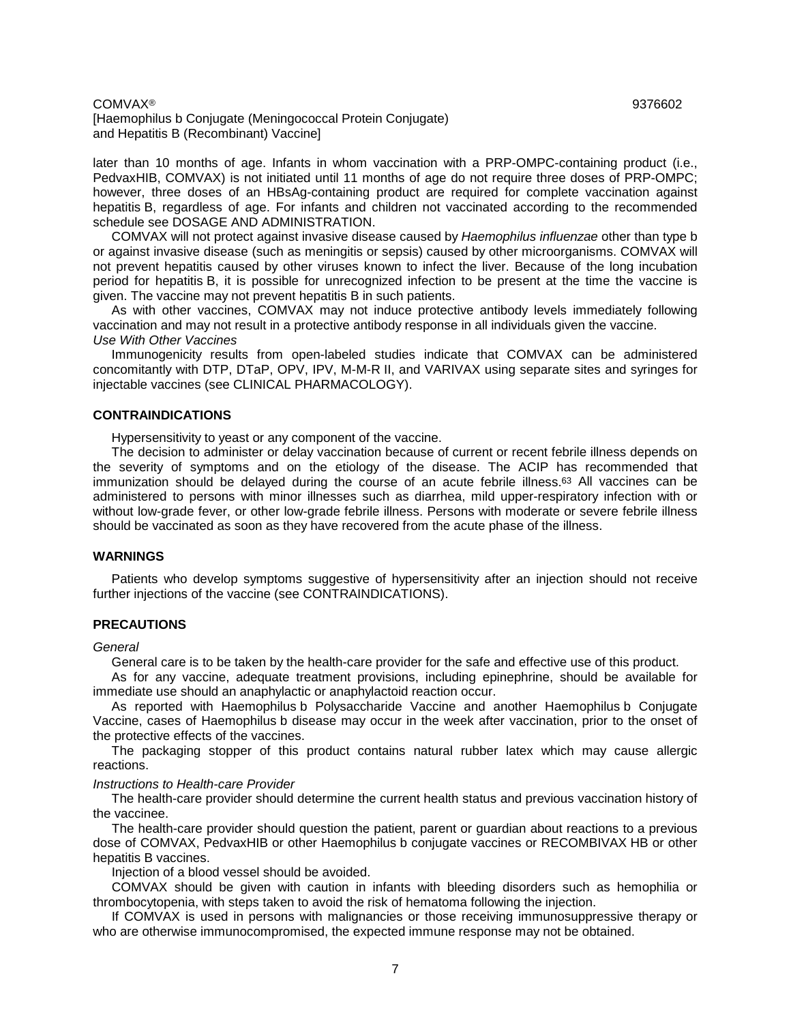[Haemophilus b Conjugate (Meningococcal Protein Conjugate) and Hepatitis B (Recombinant) Vaccine]

 PedvaxHIB, COMVAX) is not initiated until 11 months of age do not require three doses of PRP-OMPC; hepatitis B, regardless of age. For infants and children not vaccinated according to the recommended later than 10 months of age. Infants in whom vaccination with a PRP-OMPC-containing product (i.e., however, three doses of an HBsAg-containing product are required for complete vaccination against schedule see DOSAGE AND ADMINISTRATION.

 or against invasive disease (such as meningitis or sepsis) caused by other microorganisms. COMVAX will period for hepatitis B, it is possible for unrecognized infection to be present at the time the vaccine is COMVAX will not protect against invasive disease caused by Haemophilus influenzae other than type b not prevent hepatitis caused by other viruses known to infect the liver. Because of the long incubation given. The vaccine may not prevent hepatitis B in such patients.

 As with other vaccines, COMVAX may not induce protective antibody levels immediately following vaccination and may not result in a protective antibody response in all individuals given the vaccine. Use With Other Vaccines

 concomitantly with DTP, DTaP, OPV, IPV, M-M-R II, and VARIVAX using separate sites and syringes for Immunogenicity results from open-labeled studies indicate that COMVAX can be administered injectable vaccines (see CLINICAL PHARMACOLOGY).

### **CONTRAINDICATIONS**

Hypersensitivity to yeast or any component of the vaccine.

 The decision to administer or delay vaccination because of current or recent febrile illness depends on the severity of symptoms and on the etiology of the disease. The ACIP has recommended that immunization should be delayed during the course of an acute febrile illness.63 All vaccines can be administered to persons with minor illnesses such as diarrhea, mild upper-respiratory infection with or without low-grade fever, or other low-grade febrile illness. Persons with moderate or severe febrile illness should be vaccinated as soon as they have recovered from the acute phase of the illness.

#### **WARNINGS**

Patients who develop symptoms suggestive of hypersensitivity after an injection should not receive further injections of the vaccine (see CONTRAINDICATIONS).

#### **PRECAUTIONS**

#### **General**

General care is to be taken by the health-care provider for the safe and effective use of this product.

As for any vaccine, adequate treatment provisions, including epinephrine, should be available for immediate use should an anaphylactic or anaphylactoid reaction occur.

As reported with Haemophilus b Polysaccharide Vaccine and another Haemophilus b Conjugate Vaccine, cases of Haemophilus b disease may occur in the week after vaccination, prior to the onset of the protective effects of the vaccines.

The packaging stopper of this product contains natural rubber latex which may cause allergic reactions.

#### Instructions to Health-care Provider

 The health-care provider should determine the current health status and previous vaccination history of the vaccinee.

The health-care provider should question the patient, parent or guardian about reactions to a previous dose of COMVAX, PedvaxHIB or other Haemophilus b conjugate vaccines or RECOMBIVAX HB or other hepatitis B vaccines.

Injection of a blood vessel should be avoided.

COMVAX should be given with caution in infants with bleeding disorders such as hemophilia or thrombocytopenia, with steps taken to avoid the risk of hematoma following the injection.

 If COMVAX is used in persons with malignancies or those receiving immunosuppressive therapy or who are otherwise immunocompromised, the expected immune response may not be obtained.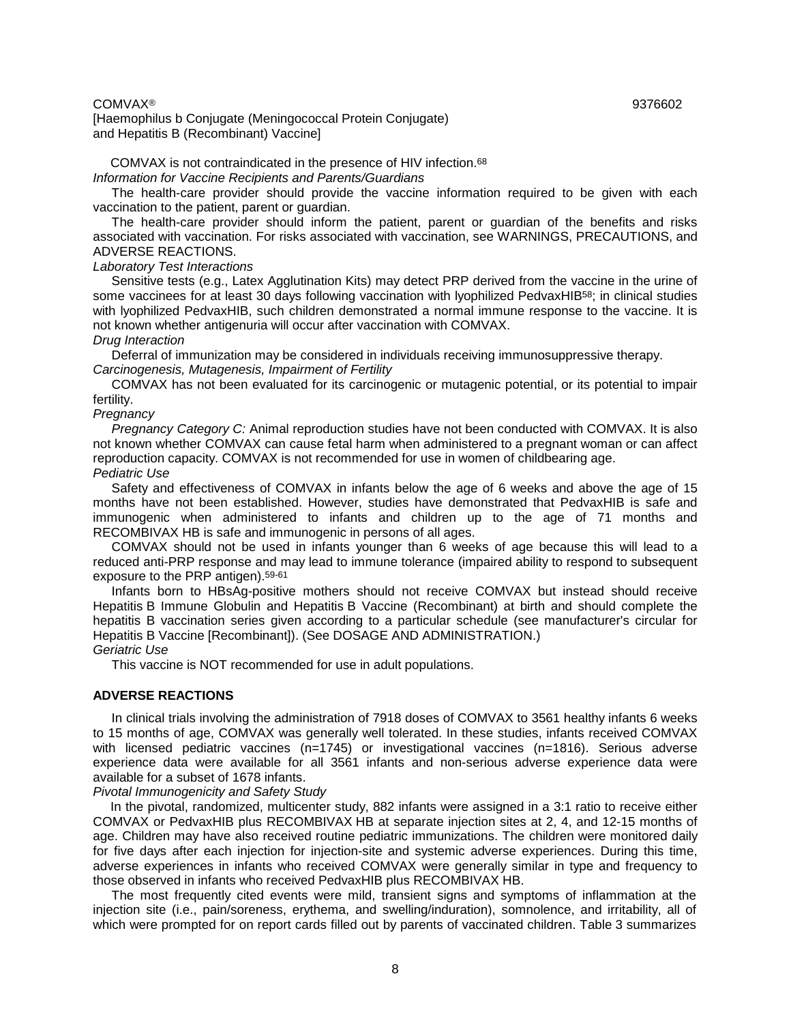[Haemophilus b Conjugate (Meningococcal Protein Conjugate) and Hepatitis B (Recombinant) Vaccine]

## COMVAX is not contraindicated in the presence of HIV infection.68 Information for Vaccine Recipients and Parents/Guardians

The health-care provider should provide the vaccine information required to be given with each vaccination to the patient, parent or guardian.

 The health-care provider should inform the patient, parent or guardian of the benefits and risks associated with vaccination. For risks associated with vaccination, see WARNINGS, PRECAUTIONS, and ADVERSE REACTIONS.

#### Laboratory Test Interactions

some vaccinees for at least 30 days following vaccination with lyophilized PedvaxHIB<sup>58</sup>; in clinical studies Sensitive tests (e.g., Latex Agglutination Kits) may detect PRP derived from the vaccine in the urine of with lyophilized PedvaxHIB, such children demonstrated a normal immune response to the vaccine. It is not known whether antigenuria will occur after vaccination with COMVAX.

# Drug Interaction

Deferral of immunization may be considered in individuals receiving immunosuppressive therapy. Carcinogenesis, Mutagenesis, Impairment of Fertility

 COMVAX has not been evaluated for its carcinogenic or mutagenic potential, or its potential to impair fertility.

## **Pregnancy**

 not known whether COMVAX can cause fetal harm when administered to a pregnant woman or can affect Pregnancy Category C: Animal reproduction studies have not been conducted with COMVAX. It is also reproduction capacity. COMVAX is not recommended for use in women of childbearing age. Pediatric Use

 Safety and effectiveness of COMVAX in infants below the age of 6 weeks and above the age of 15 months have not been established. However, studies have demonstrated that PedvaxHIB is safe and immunogenic when administered to infants and children up to the age of 71 months and RECOMBIVAX HB is safe and immunogenic in persons of all ages.

COMVAX should not be used in infants younger than 6 weeks of age because this will lead to a reduced anti-PRP response and may lead to immune tolerance (impaired ability to respond to subsequent exposure to the PRP antigen).59-61

Infants born to HBsAg-positive mothers should not receive COMVAX but instead should receive Hepatitis B Immune Globulin and Hepatitis B Vaccine (Recombinant) at birth and should complete the hepatitis B vaccination series given according to a particular schedule (see manufacturer's circular for Hepatitis B Vaccine [Recombinant]). (See DOSAGE AND ADMINISTRATION.)

# Geriatric Use

This vaccine is NOT recommended for use in adult populations.

## **ADVERSE REACTIONS**

 experience data were available for all 3561 infants and non-serious adverse experience data were In clinical trials involving the administration of 7918 doses of COMVAX to 3561 healthy infants 6 weeks to 15 months of age, COMVAX was generally well tolerated. In these studies, infants received COMVAX with licensed pediatric vaccines (n=1745) or investigational vaccines (n=1816). Serious adverse available for a subset of 1678 infants.

#### Pivotal Immunogenicity and Safety Study

 for five days after each injection for injection-site and systemic adverse experiences. During this time, adverse experiences in infants who received COMVAX were generally similar in type and frequency to In the pivotal, randomized, multicenter study, 882 infants were assigned in a 3:1 ratio to receive either COMVAX or PedvaxHIB plus RECOMBIVAX HB at separate injection sites at 2, 4, and 12-15 months of age. Children may have also received routine pediatric immunizations. The children were monitored daily those observed in infants who received PedvaxHIB plus RECOMBIVAX HB.

 The most frequently cited events were mild, transient signs and symptoms of inflammation at the injection site (i.e., pain/soreness, erythema, and swelling/induration), somnolence, and irritability, all of which were prompted for on report cards filled out by parents of vaccinated children. Table 3 summarizes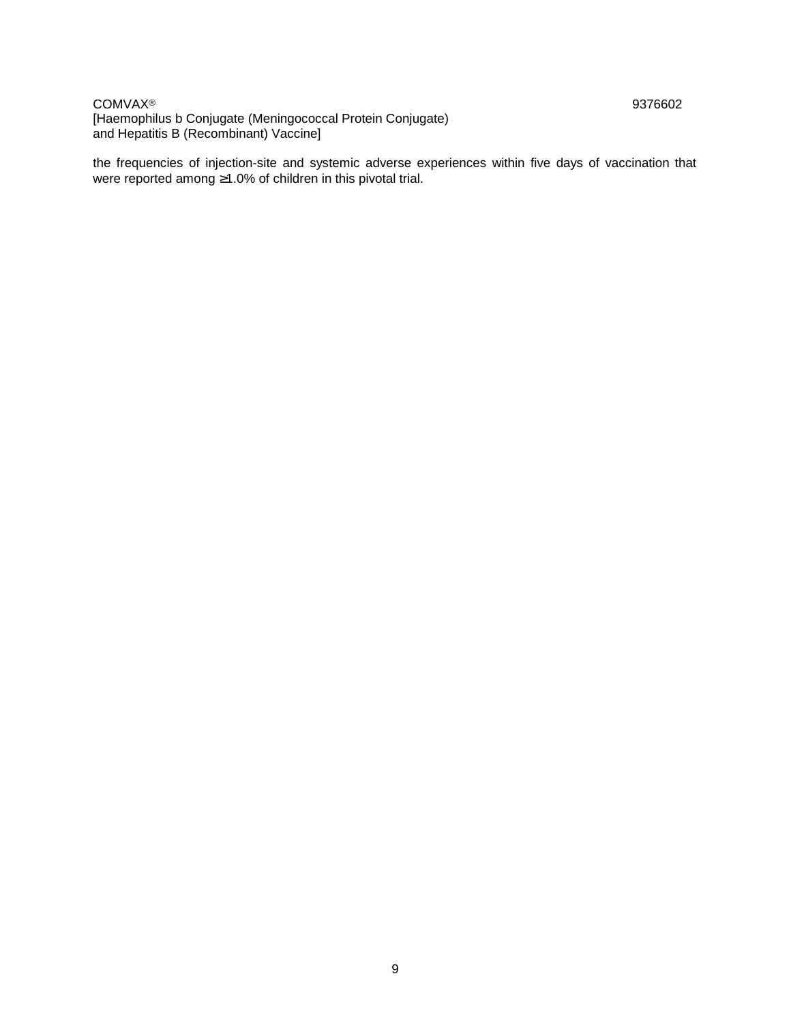the frequencies of injection-site and systemic adverse experiences within five days of vaccination that were reported among ≥1.0% of children in this pivotal trial.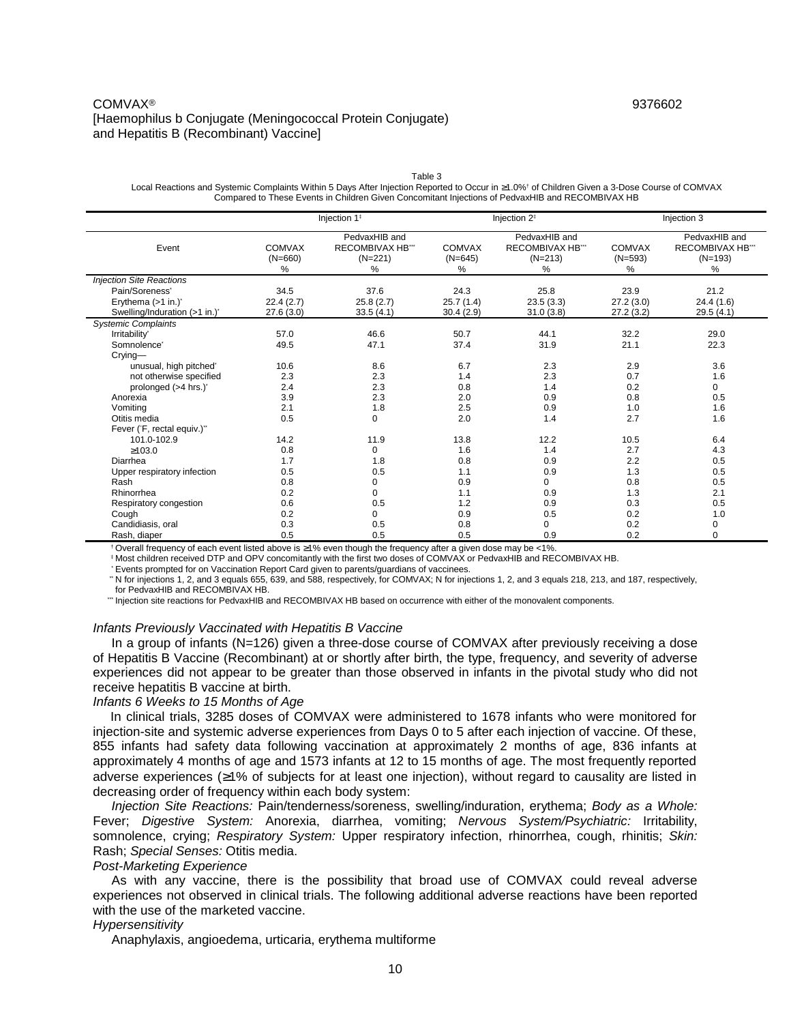|                                                                       |                                 | Injection 1 <sup>‡</sup>                                  |                                 | Injection 2 <sup>‡</sup>                                  | Injection 3                     |                                                           |  |
|-----------------------------------------------------------------------|---------------------------------|-----------------------------------------------------------|---------------------------------|-----------------------------------------------------------|---------------------------------|-----------------------------------------------------------|--|
| Event                                                                 | <b>COMVAX</b><br>$(N=660)$<br>% | PedvaxHIB and<br><b>RECOMBIVAX HB""</b><br>$(N=221)$<br>% | <b>COMVAX</b><br>$(N=645)$<br>% | PedvaxHIB and<br><b>RECOMBIVAX HB""</b><br>$(N=213)$<br>% | <b>COMVAX</b><br>$(N=593)$<br>% | PedvaxHIB and<br><b>RECOMBIVAX HB""</b><br>$(N=193)$<br>% |  |
| <b>Injection Site Reactions</b>                                       |                                 |                                                           |                                 |                                                           |                                 |                                                           |  |
| Pain/Soreness'<br>Erythema (>1 in.)*<br>Swelling/Induration (>1 in.)* | 34.5<br>22.4(2.7)<br>27.6(3.0)  | 37.6<br>25.8(2.7)<br>33.5(4.1)                            | 24.3<br>25.7(1.4)<br>30.4(2.9)  | 25.8<br>23.5(3.3)<br>31.0(3.8)                            | 23.9<br>27.2(3.0)<br>27.2(3.2)  | 21.2<br>24.4(1.6)<br>29.5(4.1)                            |  |
| <b>Systemic Complaints</b>                                            |                                 |                                                           |                                 |                                                           |                                 |                                                           |  |
| Irritability<br>Somnolence <sup>*</sup>                               | 57.0<br>49.5                    | 46.6<br>47.1                                              | 50.7<br>37.4                    | 44.1<br>31.9                                              | 32.2<br>21.1                    | 29.0<br>22.3                                              |  |
| Crying-                                                               |                                 |                                                           |                                 |                                                           |                                 |                                                           |  |
| unusual, high pitched"                                                | 10.6                            | 8.6                                                       | 6.7                             | 2.3                                                       | 2.9                             | 3.6                                                       |  |
| not otherwise specified                                               | 2.3                             | 2.3                                                       | 1.4                             | 2.3                                                       | 0.7                             | 1.6                                                       |  |
| prolonged (>4 hrs.)*                                                  | 2.4                             | 2.3                                                       | 0.8                             | 1.4                                                       | 0.2                             | $\Omega$                                                  |  |
| Anorexia                                                              | 3.9                             | 2.3                                                       | 2.0                             | 0.9                                                       | 0.8                             | 0.5                                                       |  |
| Vomiting                                                              | 2.1                             | 1.8                                                       | 2.5                             | 0.9                                                       | 1.0                             | 1.6                                                       |  |
| Otitis media<br>Fever (°F, rectal equiv.)"                            | 0.5                             | $\mathbf 0$                                               | 2.0                             | 1.4                                                       | 2.7                             | 1.6                                                       |  |
| 101.0-102.9                                                           | 14.2                            | 11.9                                                      | 13.8                            | 12.2                                                      | 10.5                            | 6.4                                                       |  |
| ≥103.0                                                                | 0.8                             | 0                                                         | 1.6                             | 1.4                                                       | 2.7                             | 4.3                                                       |  |
| Diarrhea                                                              | 1.7                             | 1.8                                                       | 0.8                             | 0.9                                                       | 2.2                             | 0.5                                                       |  |
| Upper respiratory infection                                           | 0.5                             | 0.5                                                       | 1.1                             | 0.9                                                       | 1.3                             | 0.5                                                       |  |
| Rash                                                                  | 0.8                             | 0                                                         | 0.9                             | 0                                                         | 0.8                             | 0.5                                                       |  |
| Rhinorrhea                                                            | 0.2                             | 0                                                         | 1.1                             | 0.9                                                       | 1.3                             | 2.1                                                       |  |
| Respiratory congestion                                                | 0.6                             | 0.5                                                       | 1.2                             | 0.9                                                       | 0.3                             | 0.5                                                       |  |
| Cough                                                                 | 0.2                             | 0                                                         | 0.9                             | 0.5                                                       | 0.2                             | 1.0                                                       |  |
| Candidiasis, oral                                                     | 0.3                             | 0.5                                                       | 0.8                             | 0                                                         | 0.2                             | 0                                                         |  |
| Rash, diaper                                                          | 0.5                             | 0.5                                                       | 0.5                             | 0.9                                                       | 0.2                             | 0                                                         |  |

Table 3 Local Reactions and Systemic Complaints Within 5 Days After Injection Reported to Occur in ≥1.0%† of Children Given a 3-Dose Course of COMVAX<br>Compared to These Events in Children Given Concomitant Injections of PedvayHIB Compared to These Events in Children Given Concomitant Injections of PedvaxHIB and RECOMBIVAX HB

† Overall frequency of each event listed above is ≥1% even though the frequency after a given dose may be <1%.<br>‡Most children received DTP and OPV concomitantly with the first two doses of COMVAX or PedvaxHIB and RECOMBIV

\*\* N for injections 1, 2, and 3 equals 655, 639, and 588, respectively, for COMVAX; N for injections 1, 2, and 3 equals 218, 213, and 187, respectively,

for PedvaxHIB and RECOMBIVAX HB.

\*\*\* Injection site reactions for PedvaxHIB and RECOMBIVAX HB based on occurrence with either of the monovalent components.

#### Infants Previously Vaccinated with Hepatitis B Vaccine

 of Hepatitis B Vaccine (Recombinant) at or shortly after birth, the type, frequency, and severity of adverse In a group of infants (N=126) given a three-dose course of COMVAX after previously receiving a dose experiences did not appear to be greater than those observed in infants in the pivotal study who did not receive hepatitis B vaccine at birth.

Infants 6 Weeks to 15 Months of Age

 855 infants had safety data following vaccination at approximately 2 months of age, 836 infants at approximately 4 months of age and 1573 infants at 12 to 15 months of age. The most frequently reported In clinical trials, 3285 doses of COMVAX were administered to 1678 infants who were monitored for injection-site and systemic adverse experiences from Days 0 to 5 after each injection of vaccine. Of these, adverse experiences (≥1% of subjects for at least one injection), without regard to causality are listed in decreasing order of frequency within each body system:

Injection Site Reactions: Pain/tenderness/soreness, swelling/induration, erythema; Body as a Whole: Fever; Digestive System: Anorexia, diarrhea, vomiting; Nervous System/Psychiatric: Irritability, somnolence, crying; Respiratory System: Upper respiratory infection, rhinorrhea, cough, rhinitis; Skin: Rash; Special Senses: Otitis media.

#### Post-Marketing Experience

As with any vaccine, there is the possibility that broad use of COMVAX could reveal adverse experiences not observed in clinical trials. The following additional adverse reactions have been reported with the use of the marketed vaccine.

# **Hypersensitivity**

Anaphylaxis, angioedema, urticaria, erythema multiforme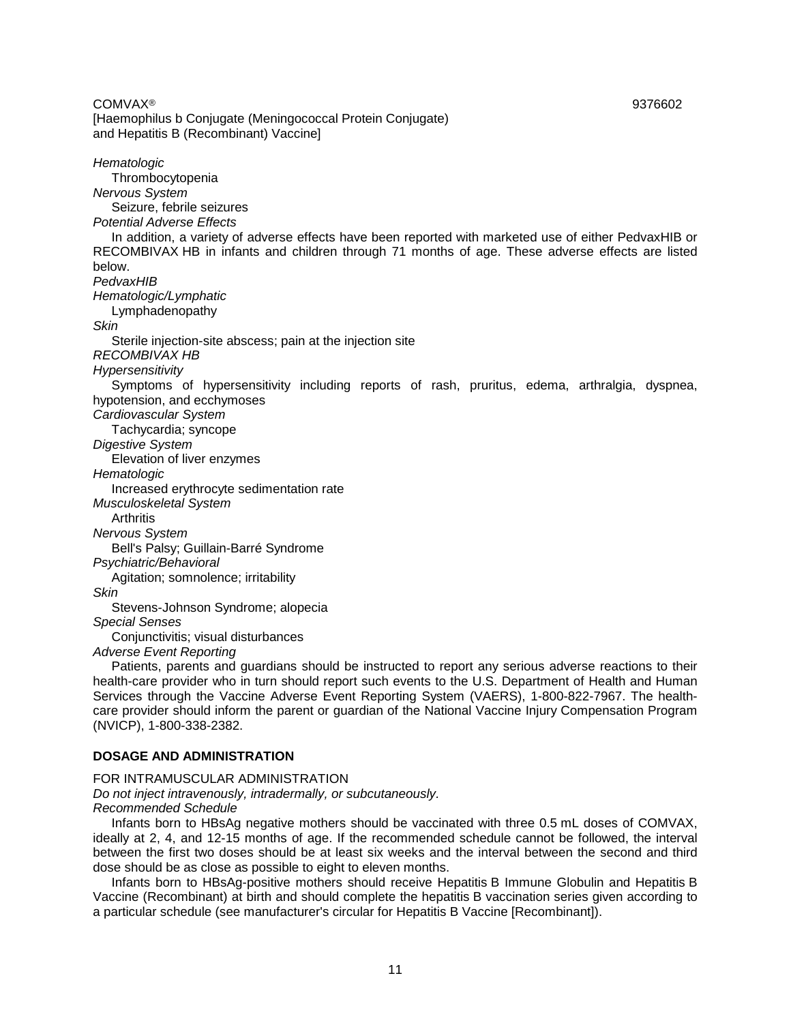**COMVAX®**  Patients, parents and guardians should be instructed to report any serious adverse reactions to their  $COMVAX® 9376602$ [Haemophilus b Conjugate (Meningococcal Protein Conjugate) and Hepatitis B (Recombinant) Vaccine] **Hematologic** Thrombocytopenia Nervous System Seizure, febrile seizures Potential Adverse Effects In addition, a variety of adverse effects have been reported with marketed use of either PedvaxHIB or RECOMBIVAX HB in infants and children through 71 months of age. These adverse effects are listed below. PedvaxHIB Hematologic/Lymphatic Lymphadenopathy **Skin** Sterile injection-site abscess; pain at the injection site RECOMBIVAX HB **Hypersensitivity** Symptoms of hypersensitivity including reports of rash, pruritus, edema, arthralgia, dyspnea, hypotension, and ecchymoses Cardiovascular System Tachycardia; syncope Digestive System Elevation of liver enzymes **Hematologic** Increased erythrocyte sedimentation rate Musculoskeletal System **Arthritis** Nervous System Bell's Palsy; Guillain-Barré Syndrome Psychiatric/Behavioral Agitation; somnolence; irritability **Skin** Stevens-Johnson Syndrome; alopecia Special Senses Conjunctivitis; visual disturbances Adverse Event Reporting health-care provider who in turn should report such events to the U.S. Department of Health and Human Services through the Vaccine Adverse Event Reporting System (VAERS), 1-800-822-7967. The health-

### **DOSAGE AND ADMINISTRATION**

(NVICP), 1-800-338-2382.

FOR INTRAMUSCULAR ADMINISTRATION Do not inject intravenously, intradermally, or subcutaneously. Recommended Schedule

Infants born to HBsAg negative mothers should be vaccinated with three 0.5 mL doses of COMVAX, ideally at 2, 4, and 12-15 months of age. If the recommended schedule cannot be followed, the interval between the first two doses should be at least six weeks and the interval between the second and third dose should be as close as possible to eight to eleven months.

care provider should inform the parent or guardian of the National Vaccine Injury Compensation Program

Infants born to HBsAg-positive mothers should receive Hepatitis B Immune Globulin and Hepatitis B Vaccine (Recombinant) at birth and should complete the hepatitis B vaccination series given according to a particular schedule (see manufacturer's circular for Hepatitis B Vaccine [Recombinant]).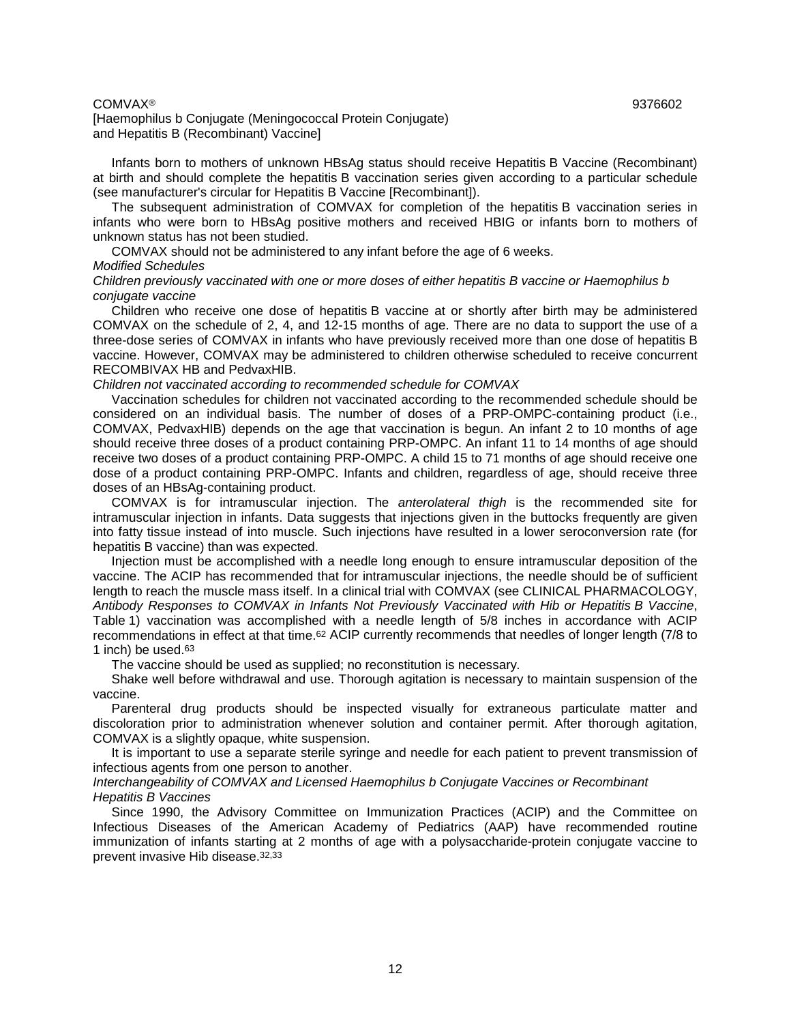[Haemophilus b Conjugate (Meningococcal Protein Conjugate) and Hepatitis B (Recombinant) Vaccine]

Infants born to mothers of unknown HBsAg status should receive Hepatitis B Vaccine (Recombinant) at birth and should complete the hepatitis B vaccination series given according to a particular schedule (see manufacturer's circular for Hepatitis B Vaccine [Recombinant]).

The subsequent administration of COMVAX for completion of the hepatitis B vaccination series in infants who were born to HBsAg positive mothers and received HBIG or infants born to mothers of unknown status has not been studied.

COMVAX should not be administered to any infant before the age of 6 weeks.

#### Modified Schedules

## Children previously vaccinated with one or more doses of either hepatitis B vaccine or Haemophilus b conjugate vaccine

 Children who receive one dose of hepatitis B vaccine at or shortly after birth may be administered three-dose series of COMVAX in infants who have previously received more than one dose of hepatitis B COMVAX on the schedule of 2, 4, and 12-15 months of age. There are no data to support the use of a vaccine. However, COMVAX may be administered to children otherwise scheduled to receive concurrent RECOMBIVAX HB and PedvaxHIB.

# Children not vaccinated according to recommended schedule for COMVAX

 COMVAX, PedvaxHIB) depends on the age that vaccination is begun. An infant 2 to 10 months of age should receive three doses of a product containing PRP-OMPC. An infant 11 to 14 months of age should Vaccination schedules for children not vaccinated according to the recommended schedule should be considered on an individual basis. The number of doses of a PRP-OMPC-containing product (i.e., receive two doses of a product containing PRP-OMPC. A child 15 to 71 months of age should receive one dose of a product containing PRP-OMPC. Infants and children, regardless of age, should receive three doses of an HBsAg-containing product.

COMVAX is for intramuscular injection. The anterolateral thigh is the recommended site for intramuscular injection in infants. Data suggests that injections given in the buttocks frequently are given into fatty tissue instead of into muscle. Such injections have resulted in a lower seroconversion rate (for hepatitis B vaccine) than was expected.

 Antibody Responses to COMVAX in Infants Not Previously Vaccinated with Hib or Hepatitis B Vaccine, Injection must be accomplished with a needle long enough to ensure intramuscular deposition of the vaccine. The ACIP has recommended that for intramuscular injections, the needle should be of sufficient length to reach the muscle mass itself. In a clinical trial with COMVAX (see CLINICAL PHARMACOLOGY, Table 1) vaccination was accomplished with a needle length of 5/8 inches in accordance with ACIP recommendations in effect at that time.62 ACIP currently recommends that needles of longer length (7/8 to 1 inch) be used.63

The vaccine should be used as supplied; no reconstitution is necessary.

Shake well before withdrawal and use. Thorough agitation is necessary to maintain suspension of the vaccine.

 Parenteral drug products should be inspected visually for extraneous particulate matter and discoloration prior to administration whenever solution and container permit. After thorough agitation, COMVAX is a slightly opaque, white suspension.

It is important to use a separate sterile syringe and needle for each patient to prevent transmission of infectious agents from one person to another.

# Interchangeability of COMVAX and Licensed Haemophilus b Conjugate Vaccines or Recombinant Hepatitis B Vaccines

 Since 1990, the Advisory Committee on Immunization Practices (ACIP) and the Committee on Infectious Diseases of the American Academy of Pediatrics (AAP) have recommended routine immunization of infants starting at 2 months of age with a polysaccharide-protein conjugate vaccine to prevent invasive Hib disease.32,33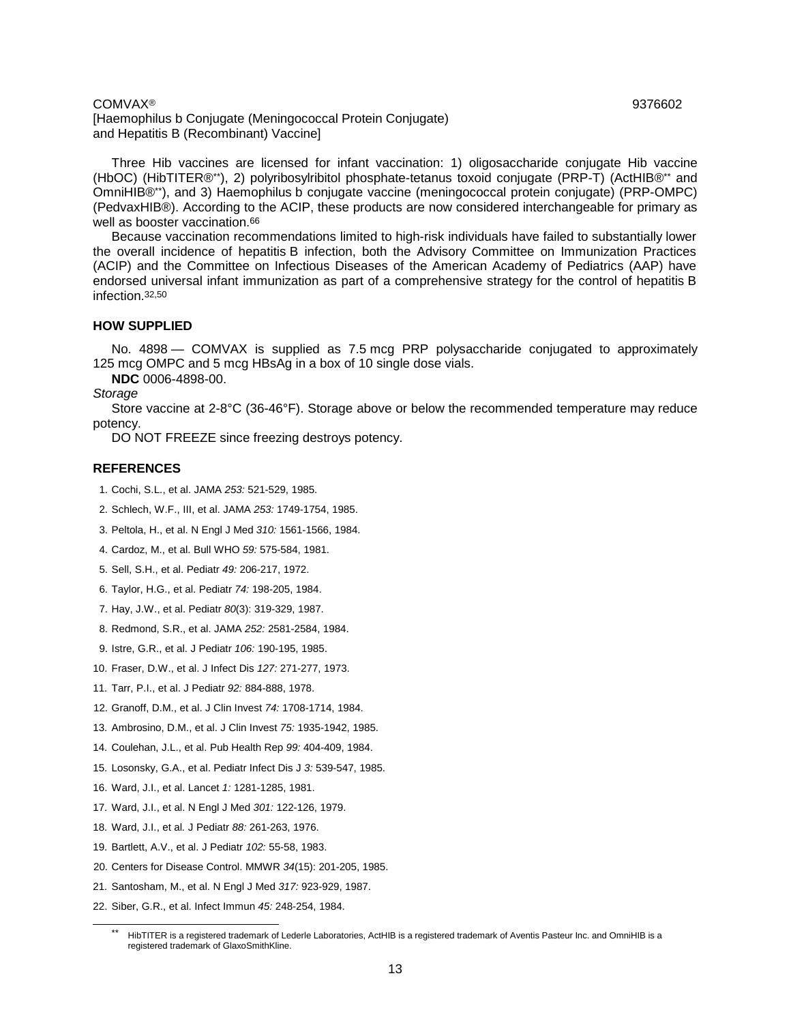[Haemophilus b Conjugate (Meningococcal Protein Conjugate) and Hepatitis B (Recombinant) Vaccine]

Three Hib vaccines are licensed for infant vaccination: 1) oligosaccharide conjugate Hib vaccine (HbOC) (HibTITER®\*\*), 2) polyribosylribitol phosphate-tetanus toxoid conjugate (PRP-T) (ActHIB®\*\* and OmniHIB®\*\*), and 3) Haemophilus b conjugate vaccine (meningococcal protein conjugate) (PRP-OMPC) (PedvaxHIB®). According to the ACIP, these products are now considered interchangeable for primary as well as booster vaccination.<sup>66</sup>

 endorsed universal infant immunization as part of a comprehensive strategy for the control of hepatitis B Because vaccination recommendations limited to high-risk individuals have failed to substantially lower the overall incidence of hepatitis B infection, both the Advisory Committee on Immunization Practices (ACIP) and the Committee on Infectious Diseases of the American Academy of Pediatrics (AAP) have infection.32,50

### **HOW SUPPLIED**

No. 4898 – COMVAX is supplied as 7.5 mcg PRP polysaccharide conjugated to approximately 125 mcg OMPC and 5 mcg HBsAg in a box of 10 single dose vials.

**NDC** 0006-4898-00.

## **Storage**

 Store vaccine at 2-8°C (36-46°F). Storage above or below the recommended temperature may reduce potency.

DO NOT FREEZE since freezing destroys potency.

#### **REFERENCES**

- 1. Cochi, S.L., et al. JAMA 253: 521-529, 1985.
- 2. Schlech, W.F., III, et al. JAMA 253: 1749-1754, 1985.
- 3. Peltola, H., et al. N Engl J Med 310: 1561-1566, 1984.
- 4. Cardoz, M., et al. Bull WHO 59: 575-584, 1981.
- 5. Sell, S.H., et al. Pediatr 49: 206-217, 1972.
- 6. Taylor, H.G., et al. Pediatr 74: 198-205, 1984.
- 7. Hay, J.W., et al. Pediatr 80(3): 319-329, 1987.
- 8. Redmond, S.R., et al. JAMA 252: 2581-2584, 1984.
- 9. Istre, G.R., et al. J Pediatr 106: 190-195, 1985.
- 10. Fraser, D.W., et al. J Infect Dis 127: 271-277, 1973.
- 11. Tarr, P.I., et al. J Pediatr 92: 884-888, 1978.
- 12. Granoff, D.M., et al. J Clin Invest 74: 1708-1714, 1984.
- 13. Ambrosino, D.M., et al. J Clin Invest 75: 1935-1942, 1985.
- 14. Coulehan, J.L., et al. Pub Health Rep 99: 404-409, 1984.
- 15. Losonsky, G.A., et al. Pediatr Infect Dis J 3: 539-547, 1985.
- 16. Ward, J.I., et al. Lancet 1: 1281-1285, 1981.
- 17. Ward, J.I., et al. N Engl J Med 301: 122-126, 1979.
- 18. Ward, J.I., et al. J Pediatr 88: 261-263, 1976.
- 19. Bartlett, A.V., et al. J Pediatr 102: 55-58, 1983.
- 20. Centers for Disease Control. MMWR 34(15): 201-205, 1985.
- 21. Santosham, M., et al. N Engl J Med 317: 923-929, 1987.
- 22. Siber, G.R., et al. Infect Immun 45: 248-254, 1984.

l

HibTITER is a registered trademark of Lederle Laboratories, ActHIB is a registered trademark of Aventis Pasteur Inc. and OmniHIB is a registered trademark of GlaxoSmithKline.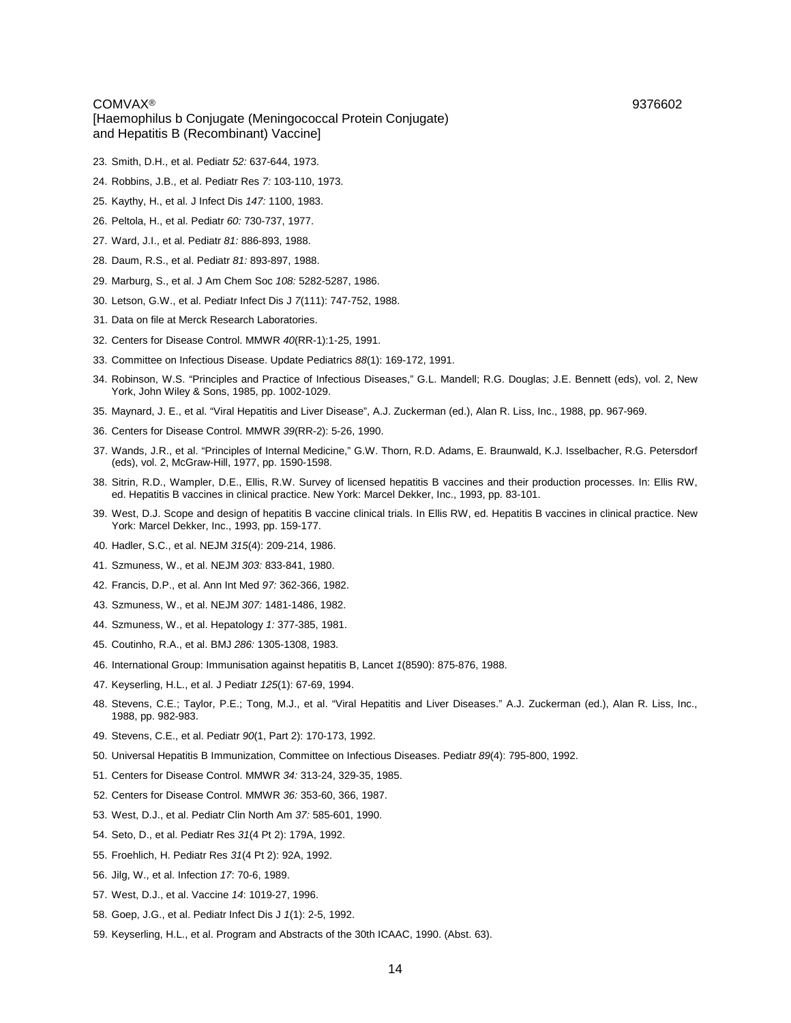- 23. Smith, D.H., et al. Pediatr 52: 637-644, 1973.
- 24. Robbins, J.B., et al. Pediatr Res 7: 103-110, 1973.
- 25. Kaythy, H., et al. J Infect Dis 147: 1100, 1983.
- 26. Peltola, H., et al. Pediatr 60: 730-737, 1977.
- 27. Ward, J.I., et al. Pediatr 81: 886-893, 1988.
- 28. Daum, R.S., et al. Pediatr 81: 893-897, 1988.
- 29. Marburg, S., et al. J Am Chem Soc 108: 5282-5287, 1986.
- 30. Letson, G.W., et al. Pediatr Infect Dis J 7(111): 747-752, 1988.
- 31. Data on file at Merck Research Laboratories.
- 32. Centers for Disease Control. MMWR 40(RR-1):1-25, 1991.
- 33. Committee on Infectious Disease. Update Pediatrics 88(1): 169-172, 1991.
- 34. Robinson, W.S. "Principles and Practice of Infectious Diseases," G.L. Mandell; R.G. Douglas; J.E. Bennett (eds), vol. 2, New York, John Wiley & Sons, 1985, pp. 1002-1029.
- 35. Maynard, J. E., et al. "Viral Hepatitis and Liver Disease", A.J. Zuckerman (ed.), Alan R. Liss, Inc., 1988, pp. 967-969.
- 36. Centers for Disease Control. MMWR 39(RR-2): 5-26, 1990.
- 37. Wands, J.R., et al. "Principles of Internal Medicine," G.W. Thorn, R.D. Adams, E. Braunwald, K.J. Isselbacher, R.G. Petersdorf (eds), vol. 2, McGraw-Hill, 1977, pp. 1590-1598.
- 38. Sitrin, R.D., Wampler, D.E., Ellis, R.W. Survey of licensed hepatitis B vaccines and their production processes. In: Ellis RW, ed. Hepatitis B vaccines in clinical practice. New York: Marcel Dekker, Inc., 1993, pp. 83-101.
- 39. West, D.J. Scope and design of hepatitis B vaccine clinical trials. In Ellis RW, ed. Hepatitis B vaccines in clinical practice. New York: Marcel Dekker, Inc., 1993, pp. 159-177.
- 40. Hadler, S.C., et al. NEJM 315(4): 209-214, 1986.
- 41. Szmuness, W., et al. NEJM 303: 833-841, 1980.
- 42. Francis, D.P., et al. Ann Int Med 97: 362-366, 1982.
- 43. Szmuness, W., et al. NEJM 307: 1481-1486, 1982.
- 44. Szmuness, W., et al. Hepatology 1: 377-385, 1981.
- 45. Coutinho, R.A., et al. BMJ 286: 1305-1308, 1983.
- 46. International Group: Immunisation against hepatitis B, Lancet 1(8590): 875-876, 1988.
- 47. Keyserling, H.L., et al. J Pediatr 125(1): 67-69, 1994.
- 48. Stevens, C.E.; Taylor, P.E.; Tong, M.J., et al. "Viral Hepatitis and Liver Diseases." A.J. Zuckerman (ed.), Alan R. Liss, Inc., 1988, pp. 982-983.
- 49. Stevens, C.E., et al. Pediatr 90(1, Part 2): 170-173, 1992.
- 50. Universal Hepatitis B Immunization, Committee on Infectious Diseases. Pediatr 89(4): 795-800, 1992.
- 51. Centers for Disease Control. MMWR 34: 313-24, 329-35, 1985.
- 52. Centers for Disease Control. MMWR 36: 353-60, 366, 1987.
- 53. West, D.J., et al. Pediatr Clin North Am 37: 585-601, 1990.
- 54. Seto, D., et al. Pediatr Res 31(4 Pt 2): 179A, 1992.
- 55. Froehlich, H. Pediatr Res 31(4 Pt 2): 92A, 1992.
- 56. Jilg, W., et al. Infection 17: 70-6, 1989.
- 57. West, D.J., et al. Vaccine 14: 1019-27, 1996.
- 58. Goep, J.G., et al. Pediatr Infect Dis J 1(1): 2-5, 1992.
- 59. Keyserling, H.L., et al. Program and Abstracts of the 30th ICAAC, 1990. (Abst. 63).